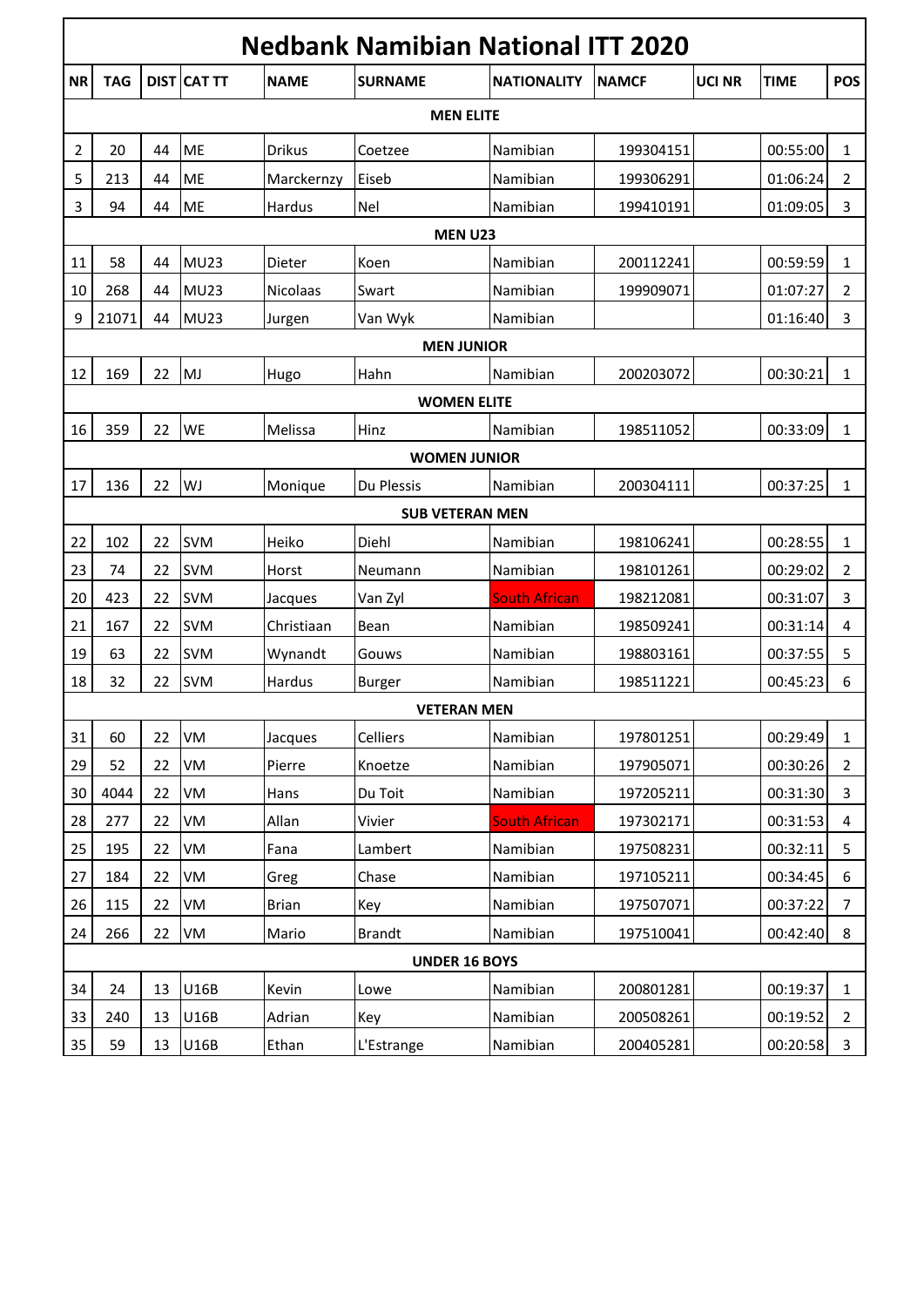|                     | <b>Nedbank Namibian National ITT 2020</b> |    |                    |                 |                      |                      |              |        |             |                |  |
|---------------------|-------------------------------------------|----|--------------------|-----------------|----------------------|----------------------|--------------|--------|-------------|----------------|--|
| <b>NR</b>           | <b>TAG</b>                                |    | <b>DIST CAT TT</b> | <b>NAME</b>     | <b>SURNAME</b>       | <b>NATIONALITY</b>   | <b>NAMCF</b> | UCI NR | <b>TIME</b> | <b>POS</b>     |  |
| <b>MEN ELITE</b>    |                                           |    |                    |                 |                      |                      |              |        |             |                |  |
| 2                   | 20                                        | 44 | ME                 | <b>Drikus</b>   | Coetzee              | Namibian             | 199304151    |        | 00:55:00    | 1              |  |
| 5                   | 213                                       | 44 | ME                 | Marckernzy      | Eiseb                | Namibian             | 199306291    |        | 01:06:24    | 2              |  |
| 3                   | 94                                        | 44 | ME                 | Hardus          | Nel                  | Namibian             | 199410191    |        | 01:09:05    | 3              |  |
|                     | <b>MEN U23</b>                            |    |                    |                 |                      |                      |              |        |             |                |  |
| 11                  | 58                                        | 44 | <b>MU23</b>        | Dieter          | Koen                 | Namibian             | 200112241    |        | 00:59:59    | $\mathbf{1}$   |  |
| 10                  | 268                                       | 44 | <b>MU23</b>        | <b>Nicolaas</b> | Swart                | Namibian             | 199909071    |        | 01:07:27    | 2              |  |
| 9                   | 21071                                     | 44 | <b>MU23</b>        | Jurgen          | Van Wyk              | Namibian             |              |        | 01:16:40    | 3              |  |
|                     | <b>MEN JUNIOR</b>                         |    |                    |                 |                      |                      |              |        |             |                |  |
| 12                  | 169                                       | 22 | MJ                 | Hugo            | Hahn                 | Namibian             | 200203072    |        | 00:30:21    | $\mathbf{1}$   |  |
|                     |                                           |    |                    |                 | <b>WOMEN ELITE</b>   |                      |              |        |             |                |  |
| 16                  | 359                                       | 22 | WE                 | Melissa         | Hinz                 | Namibian             | 198511052    |        | 00:33:09    | $\mathbf{1}$   |  |
| <b>WOMEN JUNIOR</b> |                                           |    |                    |                 |                      |                      |              |        |             |                |  |
| 17                  | 136                                       | 22 | WJ                 | Monique         | Du Plessis           | Namibian             | 200304111    |        | 00:37:25    | $\mathbf{1}$   |  |
|                     | <b>SUB VETERAN MEN</b>                    |    |                    |                 |                      |                      |              |        |             |                |  |
| 22                  | 102                                       | 22 | <b>SVM</b>         | Heiko           | Diehl                | Namibian             | 198106241    |        | 00:28:55    | $\mathbf{1}$   |  |
| 23                  | 74                                        | 22 | <b>SVM</b>         | Horst           | Neumann              | Namibian             | 198101261    |        | 00:29:02    | 2              |  |
| 20                  | 423                                       | 22 | <b>SVM</b>         | Jacques         | Van Zyl              | <b>South African</b> | 198212081    |        | 00:31:07    | 3              |  |
| 21                  | 167                                       | 22 | <b>SVM</b>         | Christiaan      | Bean                 | Namibian             | 198509241    |        | 00:31:14    | 4              |  |
| 19                  | 63                                        | 22 | <b>SVM</b>         | Wynandt         | Gouws                | Namibian             | 198803161    |        | 00:37:55    | 5              |  |
| 18                  | 32                                        | 22 | <b>SVM</b>         | Hardus          | Burger               | Namibian             | 198511221    |        | 00:45:23    | 6              |  |
|                     |                                           |    |                    |                 | <b>VETERAN MEN</b>   |                      |              |        |             |                |  |
| 31                  | 60                                        | 22 | VM                 | Jacques         | Celliers             | Namibian             | 197801251    |        | 00:29:49    | $\mathbf{1}$   |  |
| 29                  | 52                                        | 22 | VM                 | Pierre          | Knoetze              | Namibian             | 197905071    |        | 00:30:26    | $\overline{2}$ |  |
| 30                  | 4044                                      | 22 | VM                 | Hans            | Du Toit              | Namibian             | 197205211    |        | 00:31:30    | 3              |  |
| 28                  | 277                                       | 22 | VM                 | Allan           | Vivier               | <b>South African</b> | 197302171    |        | 00:31:53    | 4              |  |
| 25                  | 195                                       | 22 | VM                 | Fana            | Lambert              | Namibian             | 197508231    |        | 00:32:11    | 5              |  |
| 27                  | 184                                       | 22 | VM                 | Greg            | Chase                | Namibian             | 197105211    |        | 00:34:45    | 6              |  |
| 26                  | 115                                       | 22 | VM                 | <b>Brian</b>    | Key                  | Namibian             | 197507071    |        | 00:37:22    | 7              |  |
| 24                  | 266                                       | 22 | VM                 | Mario           | <b>Brandt</b>        | Namibian             | 197510041    |        | 00:42:40    | 8              |  |
|                     |                                           |    |                    |                 | <b>UNDER 16 BOYS</b> |                      |              |        |             |                |  |
| 34                  | 24                                        | 13 | U16B               | Kevin           | Lowe                 | Namibian             | 200801281    |        | 00:19:37    | $\mathbf{1}$   |  |
| 33                  | 240                                       | 13 | U16B               | Adrian          | Key                  | Namibian             | 200508261    |        | 00:19:52    | $\overline{2}$ |  |
| 35                  | 59                                        | 13 | U16B               | Ethan           | L'Estrange           | Namibian             | 200405281    |        | 00:20:58    | $\mathbf{3}$   |  |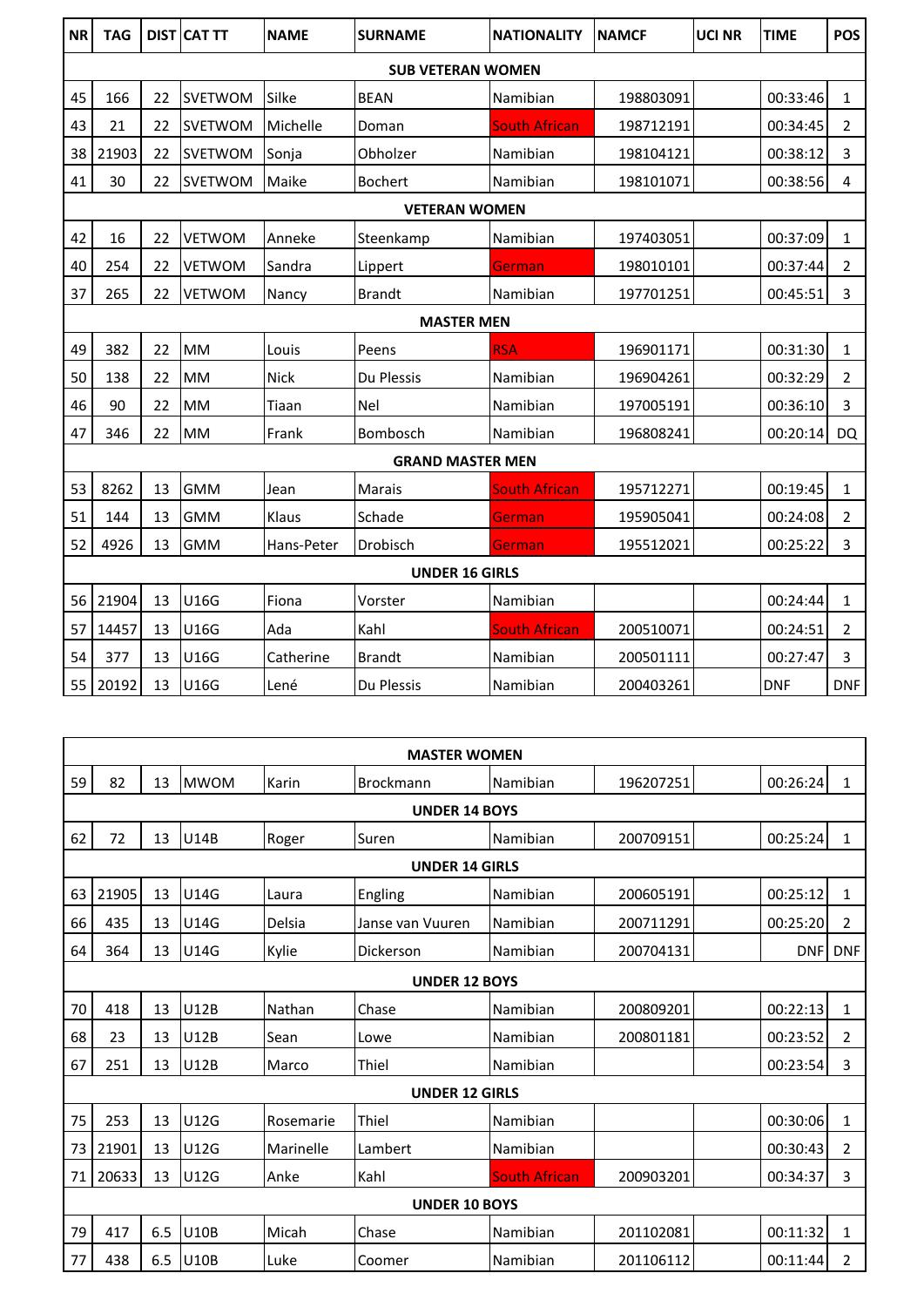| <b>NR</b>             | <b>TAG</b>               |    | <b>DIST CAT TT</b> | <b>NAME</b> | <b>SURNAME</b>          | <b>NATIONALITY</b>   | <b>NAMCF</b> | <b>UCI NR</b> | <b>TIME</b> | <b>POS</b>     |  |
|-----------------------|--------------------------|----|--------------------|-------------|-------------------------|----------------------|--------------|---------------|-------------|----------------|--|
|                       | <b>SUB VETERAN WOMEN</b> |    |                    |             |                         |                      |              |               |             |                |  |
| 45                    | 166                      | 22 | <b>SVETWOM</b>     | Silke       | <b>BEAN</b>             | Namibian             | 198803091    |               | 00:33:46    | $\mathbf{1}$   |  |
| 43                    | 21                       | 22 | <b>SVETWOM</b>     | Michelle    | Doman                   | <b>South African</b> | 198712191    |               | 00:34:45    | 2              |  |
| 38                    | 21903                    | 22 | <b>SVETWOM</b>     | Sonja       | Obholzer                | Namibian             | 198104121    |               | 00:38:12    | 3              |  |
| 41                    | 30                       | 22 | <b>SVETWOM</b>     | Maike       | <b>Bochert</b>          | Namibian             | 198101071    |               | 00:38:56    | 4              |  |
|                       | <b>VETERAN WOMEN</b>     |    |                    |             |                         |                      |              |               |             |                |  |
| 42                    | 16                       | 22 | <b>VETWOM</b>      | Anneke      | Steenkamp               | Namibian             | 197403051    |               | 00:37:09    | $\mathbf{1}$   |  |
| 40                    | 254                      | 22 | <b>VETWOM</b>      | Sandra      | Lippert                 | German               | 198010101    |               | 00:37:44    | $\overline{2}$ |  |
| 37                    | 265                      | 22 | VETWOM             | Nancy       | <b>Brandt</b>           | Namibian             | 197701251    |               | 00:45:51    | 3              |  |
|                       | <b>MASTER MEN</b>        |    |                    |             |                         |                      |              |               |             |                |  |
| 49                    | 382                      | 22 | <b>MM</b>          | Louis       | Peens                   | <b>RSA</b>           | 196901171    |               | 00:31:30    | $\mathbf{1}$   |  |
| 50                    | 138                      | 22 | MM                 | <b>Nick</b> | Du Plessis              | Namibian             | 196904261    |               | 00:32:29    | 2              |  |
| 46                    | 90                       | 22 | <b>MM</b>          | Tiaan       | <b>Nel</b>              | Namibian             | 197005191    |               | 00:36:10    | 3              |  |
| 47                    | 346                      | 22 | <b>MM</b>          | Frank       | Bombosch                | Namibian             | 196808241    |               | 00:20:14    | DQ             |  |
|                       |                          |    |                    |             | <b>GRAND MASTER MEN</b> |                      |              |               |             |                |  |
| 53                    | 8262                     | 13 | <b>GMM</b>         | Jean        | <b>Marais</b>           | <b>South African</b> | 195712271    |               | 00:19:45    | $\mathbf{1}$   |  |
| 51                    | 144                      | 13 | <b>GMM</b>         | Klaus       | Schade                  | German               | 195905041    |               | 00:24:08    | $\overline{2}$ |  |
| 52                    | 4926                     | 13 | <b>GMM</b>         | Hans-Peter  | Drobisch                | German               | 195512021    |               | 00:25:22    | 3              |  |
| <b>UNDER 16 GIRLS</b> |                          |    |                    |             |                         |                      |              |               |             |                |  |
| 56                    | 21904                    | 13 | U16G               | Fiona       | Vorster                 | Namibian             |              |               | 00:24:44    | $\mathbf{1}$   |  |
| 57                    | 14457                    | 13 | U16G               | Ada         | Kahl                    | <b>South African</b> | 200510071    |               | 00:24:51    | $\overline{2}$ |  |
| 54                    | 377                      | 13 | U16G               | Catherine   | <b>Brandt</b>           | Namibian             | 200501111    |               | 00:27:47    | 3              |  |
| 55                    | 20192                    | 13 | U16G               | Lené        | Du Plessis              | Namibian             | 200403261    |               | <b>DNF</b>  | <b>DNF</b>     |  |

|    | <b>MASTER WOMEN</b>   |     |             |           |                       |                      |           |            |                |  |  |  |
|----|-----------------------|-----|-------------|-----------|-----------------------|----------------------|-----------|------------|----------------|--|--|--|
| 59 | 82                    | 13  | <b>MWOM</b> | Karin     | <b>Brockmann</b>      | Namibian             | 196207251 | 00:26:24   | $\mathbf{1}$   |  |  |  |
|    | <b>UNDER 14 BOYS</b>  |     |             |           |                       |                      |           |            |                |  |  |  |
| 62 | 72                    | 13  | <b>U14B</b> | Roger     | Suren                 | Namibian             | 200709151 | 00:25:24   | $\mathbf{1}$   |  |  |  |
|    | <b>UNDER 14 GIRLS</b> |     |             |           |                       |                      |           |            |                |  |  |  |
| 63 | 21905                 | 13  | <b>U14G</b> | Laura     | Engling               | Namibian             | 200605191 | 00:25:12   | $\mathbf{1}$   |  |  |  |
| 66 | 435                   | 13  | <b>U14G</b> | Delsia    | Janse van Vuuren      | Namibian             | 200711291 | 00:25:20   | 2              |  |  |  |
| 64 | 364                   | 13  | <b>U14G</b> | Kylie     | Dickerson             | Namibian             | 200704131 | <b>DNF</b> | <b>DNF</b>     |  |  |  |
|    | <b>UNDER 12 BOYS</b>  |     |             |           |                       |                      |           |            |                |  |  |  |
| 70 | 418                   | 13  | <b>U12B</b> | Nathan    | Chase                 | Namibian             | 200809201 | 00:22:13   | 1              |  |  |  |
| 68 | 23                    | 13  | <b>U12B</b> | Sean      | Lowe                  | Namibian             | 200801181 | 00:23:52   | 2              |  |  |  |
| 67 | 251                   | 13  | <b>U12B</b> | Marco     | <b>Thiel</b>          | Namibian             |           | 00:23:54   | 3              |  |  |  |
|    |                       |     |             |           | <b>UNDER 12 GIRLS</b> |                      |           |            |                |  |  |  |
| 75 | 253                   | 13  | <b>U12G</b> | Rosemarie | Thiel                 | Namibian             |           | 00:30:06   | $\mathbf{1}$   |  |  |  |
| 73 | 21901                 | 13  | <b>U12G</b> | Marinelle | Lambert               | Namibian             |           | 00:30:43   | 2              |  |  |  |
| 71 | 20633                 | 13  | <b>U12G</b> | Anke      | Kahl                  | <b>South African</b> | 200903201 | 00:34:37   | 3              |  |  |  |
|    | <b>UNDER 10 BOYS</b>  |     |             |           |                       |                      |           |            |                |  |  |  |
| 79 | 417                   | 6.5 | <b>U10B</b> | Micah     | Chase                 | Namibian             | 201102081 | 00:11:32   | $\mathbf{1}$   |  |  |  |
| 77 | 438                   | 6.5 | <b>U10B</b> | Luke      | Coomer                | Namibian             | 201106112 | 00:11:44   | $\overline{2}$ |  |  |  |